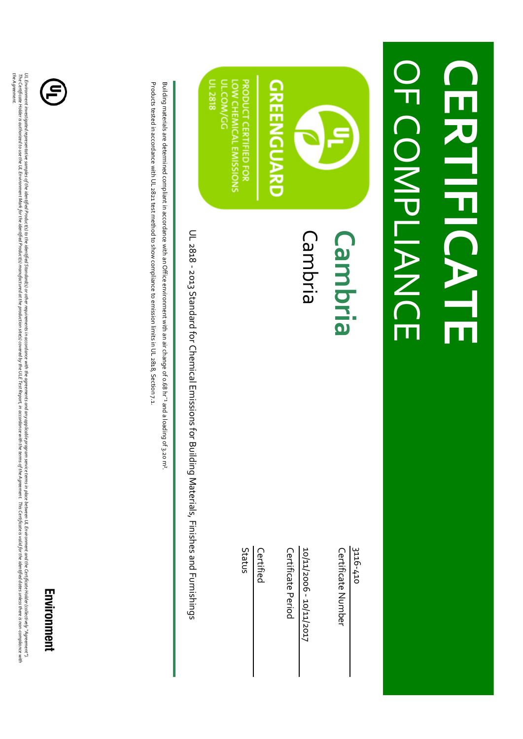## **OFCOMPLIANCE** OF COMPLIANCE **CERTIFICATE CERTIFICATE**



**PRODUCT CERTIFIED FOR** JL 2818 **LOW CHEMICAL EMISSIONS** JL.COM/GG

### Cambria **Cambria**

3116-410

Certificate Number Certificate Number

10/11/006 - 10/11/2017 10/11/2006 - 10/11/2017

Certificate Period Certificate Period

Certified

Status

UL 2818 - 2013 Standard for Chemical Emissions for Building Materials, Finishes and Furnishings UL 2818 - 2013 Standard for Chemical Emissions for Building Materials, Finishes and Furnishings

Building materials are determined compliant in accordance with an Office environment with an air change of o.68 hr<sup>-1</sup> and a loading of 3,20 m<sup>2</sup> Building materials are determined compliant in accordance with an Office environment with an air change of 0.68 hr¯¹ and a loading of 3.20 m².

Products tested in accordance with UL 2821 test method to show compliance to emission limits in UL 2818, Section 7.1 Products tested in accordance with UL 2821 test method to show compliance to emission limits in UL 2818, Section 7.1.



UL Envionment invesigated representative samplied Poductig is the advionment in a and anywhicable program servie template between UL Envionment and the Certificate Holder Collectively "Agreement"), "Agreement"), "Agreement *the Agreement.* The Certificate Holder to under a promment Markfor the identified Production and providing the Direct Report, inaccordance with the term sof the Agreement. This Certificate is valid for the ident dates onless the valid for UL Environment investigated the dentified Product(s) to the identified Standard is in a crondance with the agreements and any applicable program service terms in place between UL Environment and the Certificate stabler (co

Environment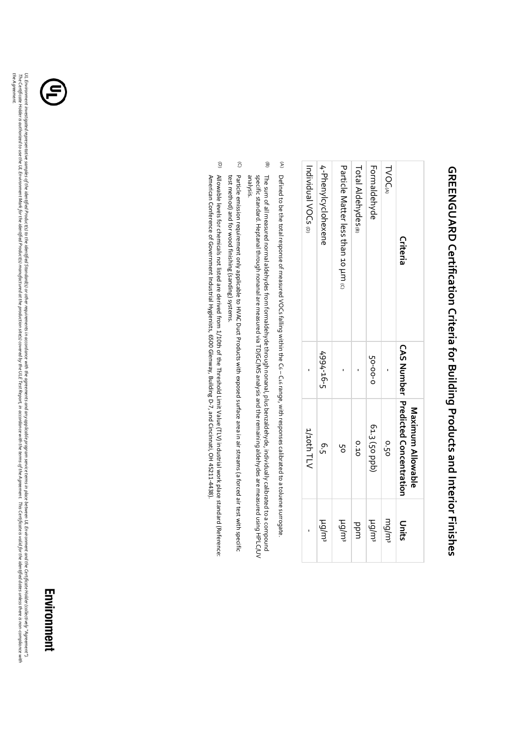## **GREENGUARD Certification Criteria for Building Products and Interior Finishes GREENGUARD Certification Criteria for Building Products and Interior Finishes**

| Criteria                            |           | <b>CAS Number Predicted Concentration</b><br>Maxinnum Allowable | Units              |
|-------------------------------------|-----------|-----------------------------------------------------------------|--------------------|
| <b>TVOCA</b>                        |           | o <sup>2</sup> .50                                              | mlgm               |
| <b>Formaldehyde</b>                 | 50-00-0   | 61.3 (50 ppb)                                                   | ty/pu              |
| Total Aldehydes@                    |           | 0.10                                                            | ppm                |
| Particle Matter less than 10 um (c) |           | 5p                                                              | tu/py              |
| 4-Phenylcyclohexene                 | 4994-16-5 | 6.5                                                             | tylpu <sup>s</sup> |
| Individual VOCs (D)                 |           | 1/10th TLV                                                      |                    |

 $\widehat{\epsilon}$ Defined to be the total response of measured VOCs falling within the C6–C:6 range, with responses calibrated to a toluene surrogate. Defined to be the total response of measured VOCs falling within the C6 – C16 range, with responses calibrated to a toluene surrogate.

- $\widehat{\mathbf{e}}$ The sum of all measured normal aldehydes from formaldehyde through nonanal, plus benzaldehyde, individually calibrated to a compound<br>specific standard. Heptanal through nonanal are measured via TD/GC/MS analysis and the re specific standard. Heptanal through nonanal are measured via TD/GC/MS analysis and the remaining aldehydes are measured using HPLC/UV The sum of all measured normal aldehydes from formaldehyde through nonanal, plus benzaldehyde, individually calibrated to a compound
- $\widehat{O}$ Particle emission requirement only applicable to HVAC Duct Products with exposed surface area in air streams (a forced air test with specific test method) and for wood finishing (sanding) systems. test method) and for wood finishing (sanding) systems. Particle emission requirement only applicable to HVAC Duct Products with exposed surface area in air streams (a forced air test with specific
- $\widehat{\Theta}$ Allowable levels for chemicals not listed are derived from 1/10th of the Threshold Limit Value (TLV) industrial work place standard (Reference: American Conference of Government Industrial Hygienists, 6500 Glenway, Building D-7, and Cincinnati, OH 45211-4438). American Conference of Government Industrial Hygienists, 6500 Glenway, Building D-7, and Cincinnati, OH 45211-4438). Allowable levels for chemicals not listed are derived from 1/10th of the Threshold Limit Value (TLV) industrial work place standard (Reference:

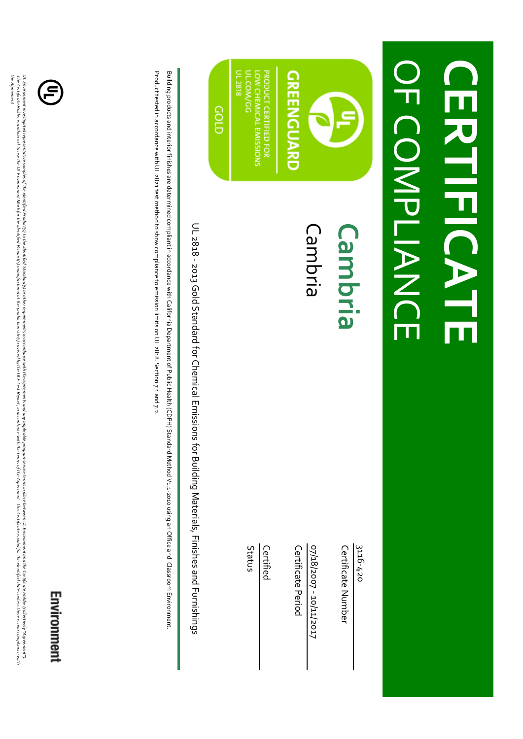## **OF COMPLIANCE** OF COMPLIANCE **CERTIFICATE CERTEKTE**

## **GREENGUARD**

**PRODUCT CERTIFIED FOR LOW CHEMICAL EMISSIONS** u.com/GG UL 2818

cop

### Cambria **Cambria**

3116-420

Certificate Number Certificate Number

07/18/2007 - 10/11/2017 07/18/2007 - 10/11/2017

**Certificate Period** Certificate Period

**Certified** 

Status

UL 2818 - 2013 Gold Standard for Chemical Emissions for Building Materials, Finishes and Furnishings UL 2818 - 2013 Gold Standard for Chemical Emissions for Building Materials, Finishes and Furnishings

Product tested in accordance with UL 2821 test method to show compliance to emission limits on UL 2818. Section 7.1 and 7.2 Building products and interior finishes are determined compliant in accordance with California Department of Public Health (CDPH) Standard Method V1.1-2010 using an Office and Classroom Environment Product tested in accordance with UL Building products and interior finishes are determined compliant in accordance with California Department of Public Health (CDPH) Standard Method V1.1-2010 using an Office and Classroom Environment. 2821 test method to show compliance to emission limits on UL 2818. Section 7.1 and 7.2.



*the Agreement.*

the Agreement.

## Environment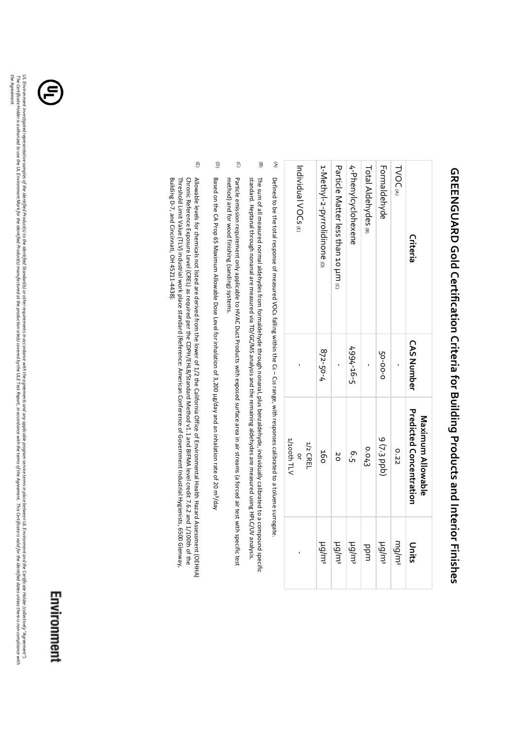| Criteria                            | <b>CAS Number</b> | Predicted Concentration<br>Maximum Allowable | Units             |
|-------------------------------------|-------------------|----------------------------------------------|-------------------|
| TVOCA                               |                   | 0.22                                         | mg/m              |
| Formaldehyde                        | 50-00-0           | 9 (7-3 ppb)                                  | tg/m <sup>s</sup> |
| Total Aldehydes (B)                 |                   | 0.043                                        | bpm               |
| 4-Phenylcyclohexene                 | $499t - 16 - 5$   | م.<br>م                                      | tg/m <sup>s</sup> |
| Particle Matter less than 10 kH (c) |                   | ŏ                                            | tu/pu             |
| 1-Methyl-2-pyrrolidinone            | 872-50-4          | 160                                          | tg/m <sup>s</sup> |
|                                     |                   | 1/2 CREL                                     |                   |

# **GREENGUARD Gold Certification Criteria for Building Products and Interior Finishes GREENGUARD Gold Certification Criteria for Building Products and Interior Finishes**

Defined to be the total response of measured VOCs falling within the G6 – C16 range, with responses calibrated to a toluene surrogate Defined to be the total response of measured VOCs falling within the C6 – C16 range, with responses calibrated to a toluene surrogate.

-

or 1/100th TLV

**THOOLY** 

-

Individual VOCs Individual VOCs (E)

 $\mathfrak{D}$ 

- (B) standard. Heptanal through nonanal are measured via TD/GC/MS analysis and the remaining aldehydes are measured using HPLC/UV analysis. The sum of all measured normal aldehydes from formaldehyde through nonanal, plus benzaldehyde, individually calibrated to a compound specific standard. Heptanal through nonanal are measured via TD/GC/MS analysis and the remaining aldehydes are measured using HPLC/UV analysis. The sum of all measured normal aldehydes from formaldehyde through nonanal, plus benzaldehyde, individually calibrated to a compound specific
- $\widehat{O}$ Particle emission requirement only applicable to HVAC Duct Products with exposed surface area in air streams (a forced air test with specific test method) and for wood finishing (sanding) systems. method) and for wood finishing (sanding) systems. Particle emission requirement only applicable to HVAC Duct Products with exposed surface area in air streams (a forced air test with specific test
- $\widehat{\mathbf{C}}$ Based on the CA Prop 65 Maximum Allowable Dose Level for inhalation of 3,200 μg/day and an inhalation rate of 20 m³/day
- $\widehat{\mathbb{E}}$ Building D-7, and Cincinnati, OH 45211-4438) Threshold Limit Value (TLV) industrial work place standard (Reference: American Conference of Government Industrial Hygienists, 6500 Glenway Chronic Reference Exposure Level (CREL) as required per the CDPH/EHLB/Standard Method v1.1 and BIFMA level credit 7.6.2 and 1/100th of the Allowable levels for chemicals not listed are derived from the lower of 1/2 the California Office of Environmental Health Hazard Assessment (OEHHA) Building D-7, and Cincinnati, OH 45211-4438). Threshold Limit Value (TLV) industrial work place standard (Reference: American Conference of Government Industrial Hygienists, 6500 Glenway, Chronic Reference Exposure Level (CREL) as required per the CDPH/EHLB/Standard Method v1.1 and BIFMA level credit 7.6.2 and 1/100th of the Allowable levels for chemicals not listed are derived from the lower of 1/2 the California Office of Environmental Health Hazard Assessment (OEHHA)



*the Agreement.*

the Agreement.